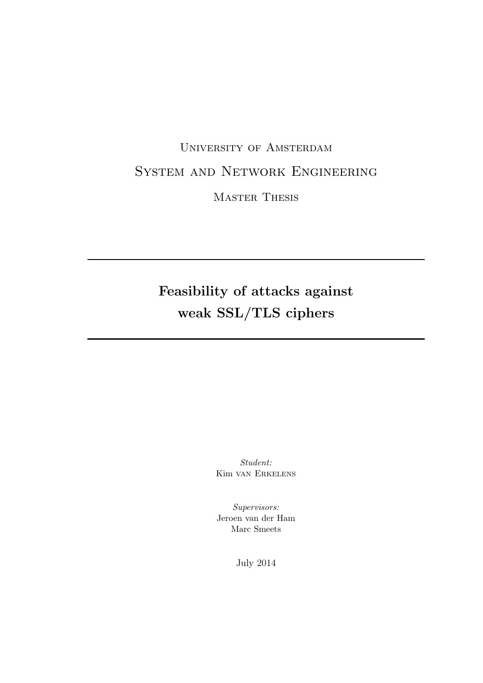# University of Amsterdam System and Network Engineering Master Thesis

# Feasibility of attacks against weak SSL/TLS ciphers

Student: Kim van Erkelens

Supervisors: Jeroen van der Ham Marc Smeets

July 2014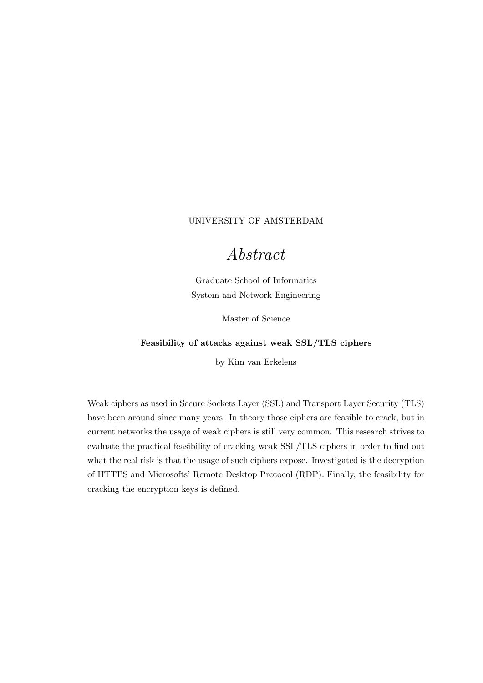#### <span id="page-1-0"></span>[UNIVERSITY OF AMSTERDAM](University Web Site URL Here (include http://))

## Abstract

[Graduate School of Informatics](Faculty Web Site URL Here (include http://)) [System and Network Engineering](Department or School Web Site URL Here (include http://))

Master of Science

#### Feasibility of attacks against weak SSL/TLS ciphers

by [Kim van Erkelens](kim.vanerkelens@os3.nl)

Weak ciphers as used in Secure Sockets Layer (SSL) and Transport Layer Security (TLS) have been around since many years. In theory those ciphers are feasible to crack, but in current networks the usage of weak ciphers is still very common. This research strives to evaluate the practical feasibility of cracking weak SSL/TLS ciphers in order to find out what the real risk is that the usage of such ciphers expose. Investigated is the decryption of HTTPS and Microsofts' Remote Desktop Protocol (RDP). Finally, the feasibility for cracking the encryption keys is defined.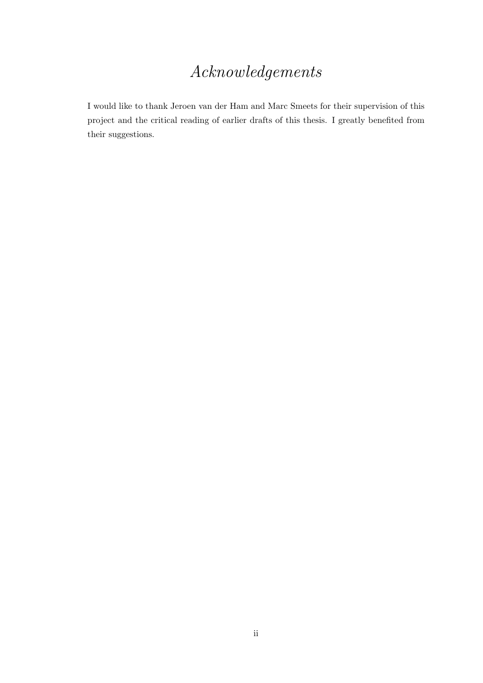# Acknowledgements

<span id="page-2-0"></span>I would like to thank Jeroen van der Ham and Marc Smeets for their supervision of this project and the critical reading of earlier drafts of this thesis. I greatly benefited from their suggestions.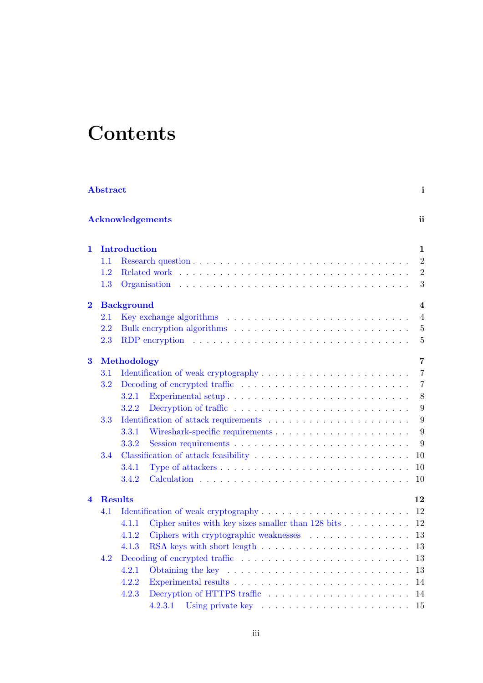# **Contents**

|                         | <b>Abstract</b> |                                                                                                |  |  |  |  |  | $\mathbf{i}$   |
|-------------------------|-----------------|------------------------------------------------------------------------------------------------|--|--|--|--|--|----------------|
|                         |                 | <b>Acknowledgements</b>                                                                        |  |  |  |  |  | ii.            |
| 1                       |                 | <b>Introduction</b>                                                                            |  |  |  |  |  | 1              |
|                         | 1.1             |                                                                                                |  |  |  |  |  | $\overline{2}$ |
|                         | 1.2             |                                                                                                |  |  |  |  |  | $\overline{2}$ |
|                         | 1.3             | Organisation                                                                                   |  |  |  |  |  | 3              |
| $\overline{\mathbf{2}}$ |                 | <b>Background</b>                                                                              |  |  |  |  |  | 4              |
|                         | $2.1\,$         |                                                                                                |  |  |  |  |  | $\overline{4}$ |
|                         | $2.2\,$         |                                                                                                |  |  |  |  |  | $\overline{5}$ |
|                         | 2.3             |                                                                                                |  |  |  |  |  | $\overline{5}$ |
| 3                       |                 | Methodology                                                                                    |  |  |  |  |  | 7              |
|                         | $3.1\,$         |                                                                                                |  |  |  |  |  | $\overline{7}$ |
|                         | 3.2             |                                                                                                |  |  |  |  |  | $\overline{7}$ |
|                         |                 | 3.2.1                                                                                          |  |  |  |  |  | 8              |
|                         |                 | 3.2.2                                                                                          |  |  |  |  |  | 9              |
|                         | 3.3             |                                                                                                |  |  |  |  |  | 9              |
|                         |                 | 3.3.1                                                                                          |  |  |  |  |  | 9              |
|                         |                 | 3.3.2                                                                                          |  |  |  |  |  | 9              |
|                         | 3.4             |                                                                                                |  |  |  |  |  | 10             |
|                         |                 | 3.4.1<br>Type of attackers $\dots \dots \dots \dots \dots \dots \dots \dots \dots \dots \dots$ |  |  |  |  |  | 10             |
|                         |                 | 3.4.2                                                                                          |  |  |  |  |  | 10             |
| $\boldsymbol{4}$        |                 | <b>Results</b>                                                                                 |  |  |  |  |  | 12             |
|                         | 4.1             |                                                                                                |  |  |  |  |  | 12             |
|                         |                 | Cipher suites with key sizes smaller than $128 \text{ bits} \dots \dots \dots$<br>4.1.1        |  |  |  |  |  | 12             |
|                         |                 | 4.1.2<br>Ciphers with cryptographic weaknesses $\ldots \ldots \ldots \ldots \ldots$            |  |  |  |  |  | 13             |
|                         |                 | RSA keys with short length<br>4.1.3                                                            |  |  |  |  |  | 13             |
|                         | 4.2             |                                                                                                |  |  |  |  |  | 13             |
|                         |                 | 4.2.1                                                                                          |  |  |  |  |  | 13             |
|                         |                 | 4.2.2                                                                                          |  |  |  |  |  | 14             |
|                         |                 | 4.2.3                                                                                          |  |  |  |  |  | 14             |
|                         |                 | 4.2.3.1                                                                                        |  |  |  |  |  | 15             |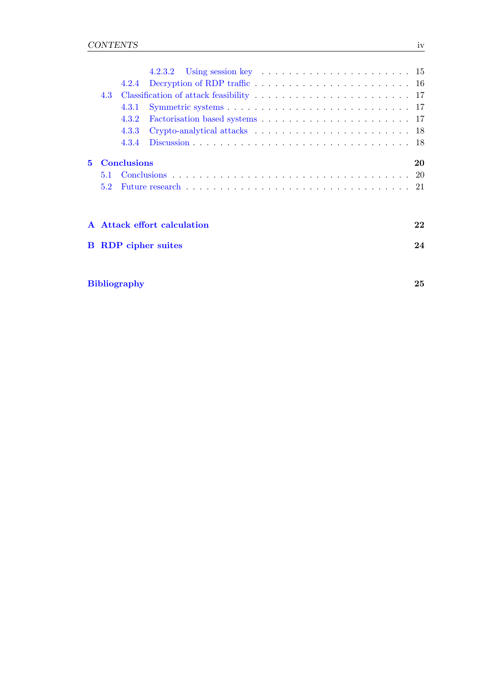|   |               | 4.2.4              |                             |  |  |  |  |  |  |  |  |  |    |
|---|---------------|--------------------|-----------------------------|--|--|--|--|--|--|--|--|--|----|
|   | 4.3           |                    |                             |  |  |  |  |  |  |  |  |  |    |
|   |               | 4.3.1              |                             |  |  |  |  |  |  |  |  |  |    |
|   |               | 4.3.2              |                             |  |  |  |  |  |  |  |  |  |    |
|   |               | 4.3.3              |                             |  |  |  |  |  |  |  |  |  |    |
|   |               | 4.3.4              |                             |  |  |  |  |  |  |  |  |  |    |
| 5 |               | <b>Conclusions</b> |                             |  |  |  |  |  |  |  |  |  | 20 |
|   | 5.1           |                    |                             |  |  |  |  |  |  |  |  |  |    |
|   | $5.2^{\circ}$ |                    |                             |  |  |  |  |  |  |  |  |  |    |
|   |               |                    |                             |  |  |  |  |  |  |  |  |  |    |
|   |               |                    | A Attack effort calculation |  |  |  |  |  |  |  |  |  | 22 |
|   |               |                    | <b>B</b> RDP cipher suites  |  |  |  |  |  |  |  |  |  | 24 |

| <b>Bibliography</b> |  |
|---------------------|--|
|---------------------|--|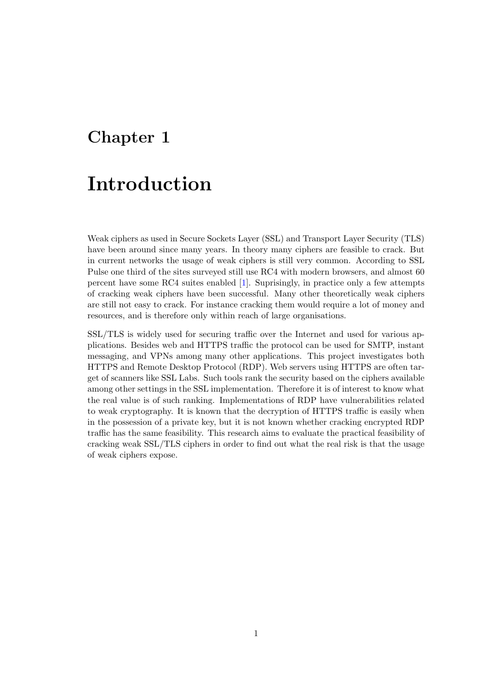## <span id="page-5-0"></span>Chapter 1

# Introduction

Weak ciphers as used in Secure Sockets Layer (SSL) and Transport Layer Security (TLS) have been around since many years. In theory many ciphers are feasible to crack. But in current networks the usage of weak ciphers is still very common. According to SSL Pulse one third of the sites surveyed still use RC4 with modern browsers, and almost 60 percent have some RC4 suites enabled [\[1\]](#page-29-1). Suprisingly, in practice only a few attempts of cracking weak ciphers have been successful. Many other theoretically weak ciphers are still not easy to crack. For instance cracking them would require a lot of money and resources, and is therefore only within reach of large organisations.

SSL/TLS is widely used for securing traffic over the Internet and used for various applications. Besides web and HTTPS traffic the protocol can be used for SMTP, instant messaging, and VPNs among many other applications. This project investigates both HTTPS and Remote Desktop Protocol (RDP). Web servers using HTTPS are often target of scanners like SSL Labs. Such tools rank the security based on the ciphers available among other settings in the SSL implementation. Therefore it is of interest to know what the real value is of such ranking. Implementations of RDP have vulnerabilities related to weak cryptography. It is known that the decryption of HTTPS traffic is easily when in the possession of a private key, but it is not known whether cracking encrypted RDP traffic has the same feasibility. This research aims to evaluate the practical feasibility of cracking weak SSL/TLS ciphers in order to find out what the real risk is that the usage of weak ciphers expose.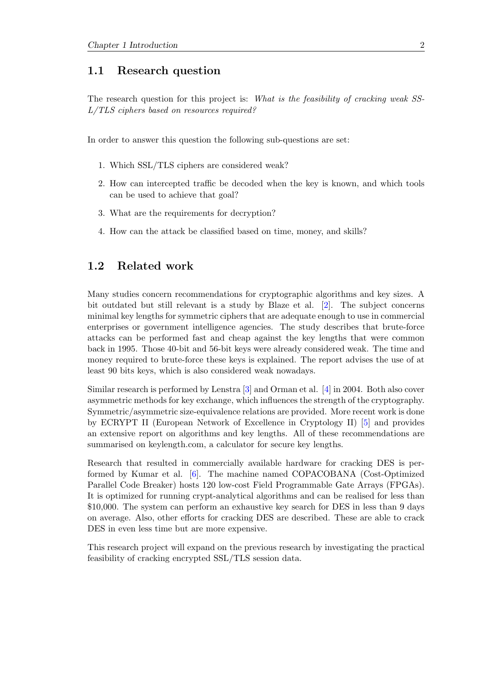### <span id="page-6-0"></span>1.1 Research question

The research question for this project is: What is the feasibility of cracking weak SS-L/TLS ciphers based on resources required?

In order to answer this question the following sub-questions are set:

- 1. Which SSL/TLS ciphers are considered weak?
- 2. How can intercepted traffic be decoded when the key is known, and which tools can be used to achieve that goal?
- 3. What are the requirements for decryption?
- 4. How can the attack be classified based on time, money, and skills?

### <span id="page-6-1"></span>1.2 Related work

Many studies concern recommendations for cryptographic algorithms and key sizes. A bit outdated but still relevant is a study by Blaze et al. [\[2\]](#page-29-2). The subject concerns minimal key lengths for symmetric ciphers that are adequate enough to use in commercial enterprises or government intelligence agencies. The study describes that brute-force attacks can be performed fast and cheap against the key lengths that were common back in 1995. Those 40-bit and 56-bit keys were already considered weak. The time and money required to brute-force these keys is explained. The report advises the use of at least 90 bits keys, which is also considered weak nowadays.

Similar research is performed by Lenstra [\[3\]](#page-29-3) and Orman et al. [\[4\]](#page-29-4) in 2004. Both also cover asymmetric methods for key exchange, which influences the strength of the cryptography. Symmetric/asymmetric size-equivalence relations are provided. More recent work is done by ECRYPT II (European Network of Excellence in Cryptology II) [\[5\]](#page-29-5) and provides an extensive report on algorithms and key lengths. All of these recommendations are summarised on keylength.com, a calculator for secure key lengths.

Research that resulted in commercially available hardware for cracking DES is performed by Kumar et al. [\[6\]](#page-29-6). The machine named COPACOBANA (Cost-Optimized Parallel Code Breaker) hosts 120 low-cost Field Programmable Gate Arrays (FPGAs). It is optimized for running crypt-analytical algorithms and can be realised for less than \$10,000. The system can perform an exhaustive key search for DES in less than 9 days on average. Also, other efforts for cracking DES are described. These are able to crack DES in even less time but are more expensive.

This research project will expand on the previous research by investigating the practical feasibility of cracking encrypted SSL/TLS session data.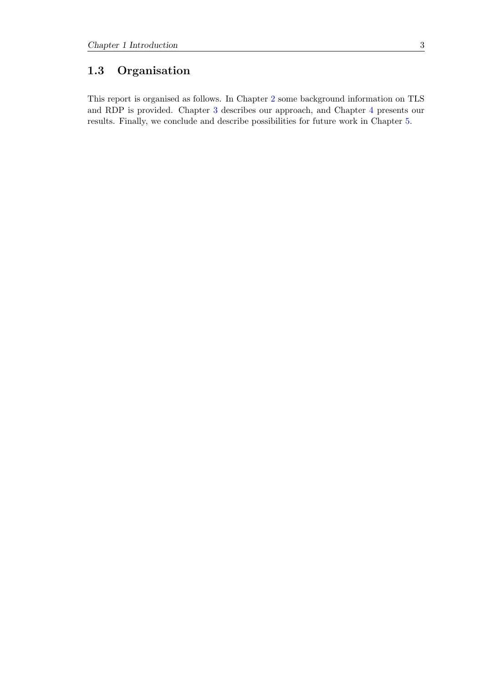## <span id="page-7-0"></span>1.3 Organisation

This report is organised as follows. In Chapter [2](#page-8-0) some background information on TLS and RDP is provided. Chapter [3](#page-11-0) describes our approach, and Chapter [4](#page-16-0) presents our results. Finally, we conclude and describe possibilities for future work in Chapter [5.](#page-24-0)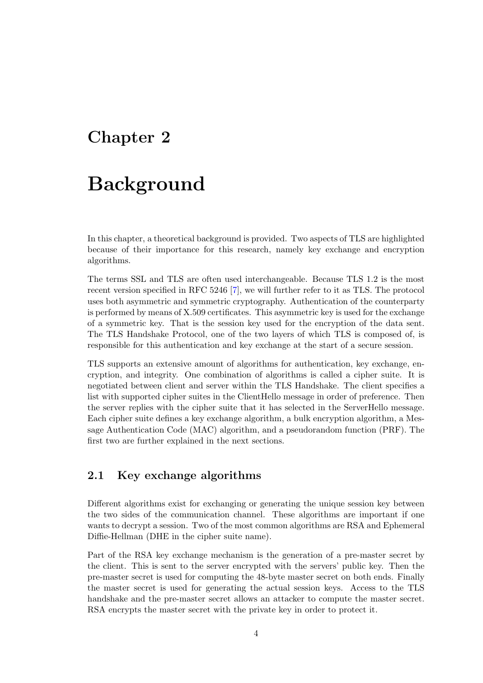## <span id="page-8-0"></span>Chapter 2

# Background

In this chapter, a theoretical background is provided. Two aspects of TLS are highlighted because of their importance for this research, namely key exchange and encryption algorithms.

The terms SSL and TLS are often used interchangeable. Because TLS 1.2 is the most recent version specified in RFC 5246 [\[7\]](#page-29-7), we will further refer to it as TLS. The protocol uses both asymmetric and symmetric cryptography. Authentication of the counterparty is performed by means of X.509 certificates. This asymmetric key is used for the exchange of a symmetric key. That is the session key used for the encryption of the data sent. The TLS Handshake Protocol, one of the two layers of which TLS is composed of, is responsible for this authentication and key exchange at the start of a secure session.

TLS supports an extensive amount of algorithms for authentication, key exchange, encryption, and integrity. One combination of algorithms is called a cipher suite. It is negotiated between client and server within the TLS Handshake. The client specifies a list with supported cipher suites in the ClientHello message in order of preference. Then the server replies with the cipher suite that it has selected in the ServerHello message. Each cipher suite defines a key exchange algorithm, a bulk encryption algorithm, a Message Authentication Code (MAC) algorithm, and a pseudorandom function (PRF). The first two are further explained in the next sections.

### <span id="page-8-1"></span>2.1 Key exchange algorithms

Different algorithms exist for exchanging or generating the unique session key between the two sides of the communication channel. These algorithms are important if one wants to decrypt a session. Two of the most common algorithms are RSA and Ephemeral Diffie-Hellman (DHE in the cipher suite name).

Part of the RSA key exchange mechanism is the generation of a pre-master secret by the client. This is sent to the server encrypted with the servers' public key. Then the pre-master secret is used for computing the 48-byte master secret on both ends. Finally the master secret is used for generating the actual session keys. Access to the TLS handshake and the pre-master secret allows an attacker to compute the master secret. RSA encrypts the master secret with the private key in order to protect it.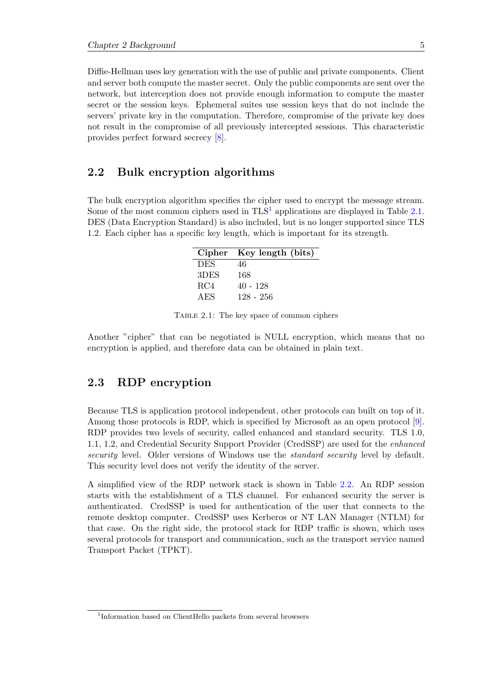Diffie-Hellman uses key generation with the use of public and private components. Client and server both compute the master secret. Only the public components are sent over the network, but interception does not provide enough information to compute the master secret or the session keys. Ephemeral suites use session keys that do not include the servers' private key in the computation. Therefore, compromise of the private key does not result in the compromise of all previously intercepted sessions. This characteristic provides perfect forward secrecy [\[8\]](#page-29-8).

#### <span id="page-9-0"></span>2.2 Bulk encryption algorithms

<span id="page-9-3"></span>The bulk encryption algorithm specifies the cipher used to encrypt the message stream. Some of the most common ciphers used in  $TLS<sup>1</sup>$  $TLS<sup>1</sup>$  $TLS<sup>1</sup>$  applications are displayed in Table [2.1.](#page-9-3) DES (Data Encryption Standard) is also included, but is no longer supported since TLS 1.2. Each cipher has a specific key length, which is important for its strength.

|            | Cipher Key length (bits) |
|------------|--------------------------|
| <b>DES</b> | 46                       |
| 3DES       | 168                      |
| RC4        | $40 - 128$               |
| A ES       | 128 - 256                |

Table 2.1: The key space of common ciphers

Another "cipher" that can be negotiated is NULL encryption, which means that no encryption is applied, and therefore data can be obtained in plain text.

### <span id="page-9-1"></span>2.3 RDP encryption

Because TLS is application protocol independent, other protocols can built on top of it. Among those protocols is RDP, which is specified by Microsoft as an open protocol [\[9\]](#page-29-9). RDP provides two levels of security, called enhanced and standard security. TLS 1.0, 1.1, 1.2, and Credential Security Support Provider (CredSSP) are used for the enhanced security level. Older versions of Windows use the *standard security* level by default. This security level does not verify the identity of the server.

A simplified view of the RDP network stack is shown in Table [2.2.](#page-10-0) An RDP session starts with the establishment of a TLS channel. For enhanced security the server is authenticated. CredSSP is used for authentication of the user that connects to the remote desktop computer. CredSSP uses Kerberos or NT LAN Manager (NTLM) for that case. On the right side, the protocol stack for RDP traffic is shown, which uses several protocols for transport and communication, such as the transport service named Transport Packet (TPKT).

<span id="page-9-2"></span><sup>1</sup> Information based on ClientHello packets from several browsers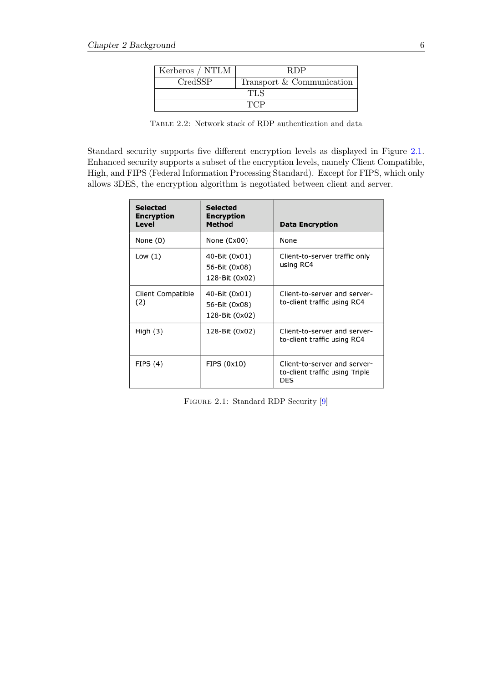<span id="page-10-0"></span>

| Kerberos / NTLM | RDP                       |  |  |  |  |
|-----------------|---------------------------|--|--|--|--|
| CredSSP         | Transport & Communication |  |  |  |  |
| TLS.            |                           |  |  |  |  |
|                 | <b>TCP</b>                |  |  |  |  |

Table 2.2: Network stack of RDP authentication and data

Standard security supports five different encryption levels as displayed in Figure [2.1.](#page-10-1) Enhanced security supports a subset of the encryption levels, namely Client Compatible, High, and FIPS (Federal Information Processing Standard). Except for FIPS, which only allows 3DES, the encryption algorithm is negotiated between client and server.

<span id="page-10-1"></span>

| <b>Selected</b><br><b>Encryption</b><br>Level | <b>Selected</b><br><b>Encryption</b><br><b>Method</b> | <b>Data Encryption</b>                                                |
|-----------------------------------------------|-------------------------------------------------------|-----------------------------------------------------------------------|
| None $(0)$                                    | None $(0x00)$                                         | None                                                                  |
| Low $(1)$                                     | 40-Bit (0x01)<br>56-Bit (0x08)<br>128-Bit (0x02)      | Client-to-server traffic only<br>using RC4                            |
| Client Compatible<br>(2)                      | 40-Bit (0x01)<br>56-Bit (0x08)<br>128-Bit (0x02)      | Client-to-server and server-<br>to-client traffic using RC4           |
| High $(3)$                                    | 128-Bit (0x02)                                        | Client-to-server and server-<br>to-client traffic using RC4           |
| FIPS(4)                                       | FIPS (0x10)                                           | Client-to-server and server-<br>to-client traffic using Triple<br>DES |

FIGURE 2.1: Standard RDP Security [\[9\]](#page-29-9)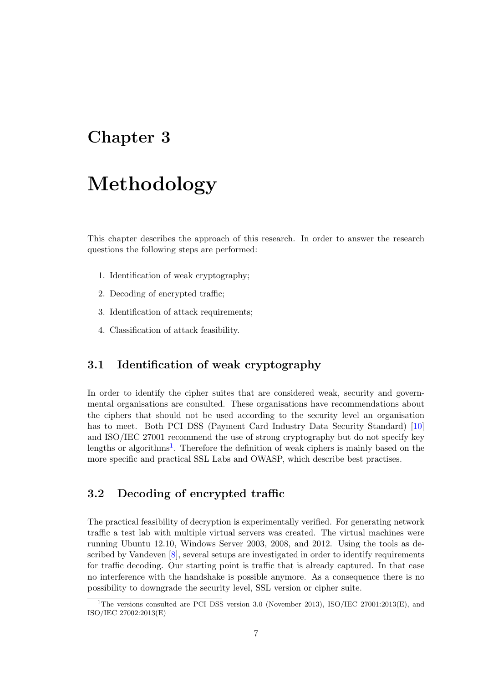## <span id="page-11-0"></span>Chapter 3

# Methodology

This chapter describes the approach of this research. In order to answer the research questions the following steps are performed:

- 1. Identification of weak cryptography;
- 2. Decoding of encrypted traffic;
- 3. Identification of attack requirements;
- 4. Classification of attack feasibility.

### <span id="page-11-1"></span>3.1 Identification of weak cryptography

In order to identify the cipher suites that are considered weak, security and governmental organisations are consulted. These organisations have recommendations about the ciphers that should not be used according to the security level an organisation has to meet. Both PCI DSS (Payment Card Industry Data Security Standard) [\[10\]](#page-29-10) and ISO/IEC 27001 recommend the use of strong cryptography but do not specify key lengths or algorithms<sup>[1](#page-11-3)</sup>. Therefore the definition of weak ciphers is mainly based on the more specific and practical SSL Labs and OWASP, which describe best practises.

### <span id="page-11-2"></span>3.2 Decoding of encrypted traffic

The practical feasibility of decryption is experimentally verified. For generating network traffic a test lab with multiple virtual servers was created. The virtual machines were running Ubuntu 12.10, Windows Server 2003, 2008, and 2012. Using the tools as described by Vandeven [\[8\]](#page-29-8), several setups are investigated in order to identify requirements for traffic decoding. Our starting point is traffic that is already captured. In that case no interference with the handshake is possible anymore. As a consequence there is no possibility to downgrade the security level, SSL version or cipher suite.

<span id="page-11-3"></span><sup>&</sup>lt;sup>1</sup>The versions consulted are PCI DSS version 3.0 (November 2013), ISO/IEC 27001:2013(E), and ISO/IEC 27002:2013(E)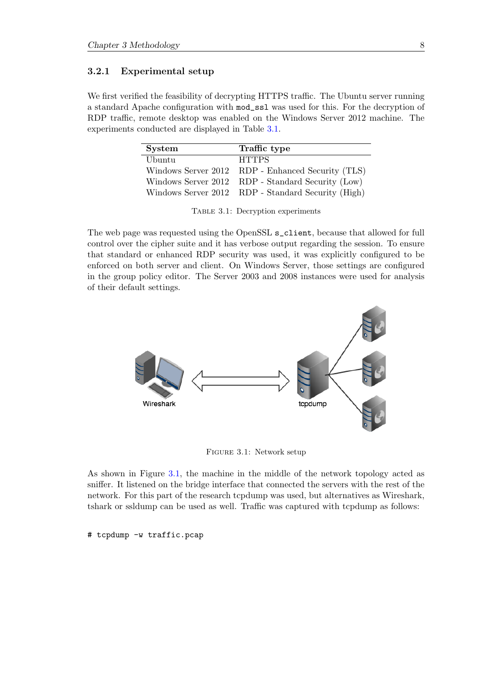#### <span id="page-12-0"></span>3.2.1 Experimental setup

<span id="page-12-1"></span>We first verified the feasibility of decrypting HTTPS traffic. The Ubuntu server running a standard Apache configuration with mod\_ssl was used for this. For the decryption of RDP traffic, remote desktop was enabled on the Windows Server 2012 machine. The experiments conducted are displayed in Table [3.1.](#page-12-1)

| <b>System</b> | Traffic type                                       |
|---------------|----------------------------------------------------|
| Ubuntu        | <b>HTTPS</b>                                       |
|               | Windows Server 2012 RDP - Enhanced Security (TLS)  |
|               | Windows Server 2012 RDP - Standard Security (Low)  |
|               | Windows Server 2012 RDP - Standard Security (High) |

Table 3.1: Decryption experiments

The web page was requested using the OpenSSL s\_client, because that allowed for full control over the cipher suite and it has verbose output regarding the session. To ensure that standard or enhanced RDP security was used, it was explicitly configured to be enforced on both server and client. On Windows Server, those settings are configured in the group policy editor. The Server 2003 and 2008 instances were used for analysis of their default settings.

<span id="page-12-2"></span>

Figure 3.1: Network setup

As shown in Figure [3.1,](#page-12-2) the machine in the middle of the network topology acted as sniffer. It listened on the bridge interface that connected the servers with the rest of the network. For this part of the research tcpdump was used, but alternatives as Wireshark, tshark or ssldump can be used as well. Traffic was captured with tcpdump as follows:

# tcpdump -w traffic.pcap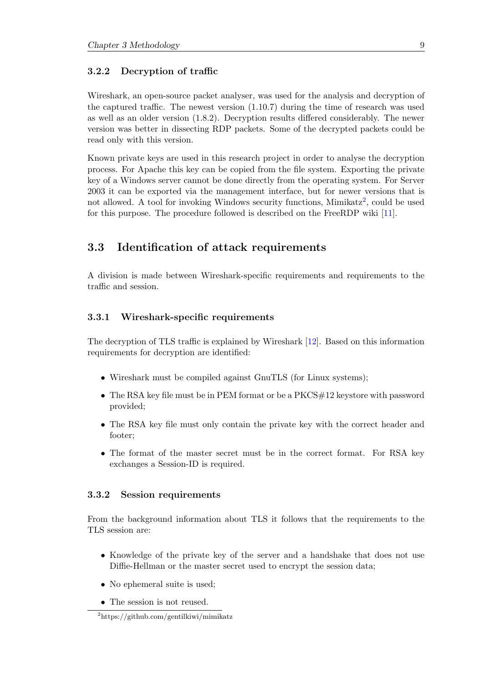#### <span id="page-13-0"></span>3.2.2 Decryption of traffic

Wireshark, an open-source packet analyser, was used for the analysis and decryption of the captured traffic. The newest version (1.10.7) during the time of research was used as well as an older version (1.8.2). Decryption results differed considerably. The newer version was better in dissecting RDP packets. Some of the decrypted packets could be read only with this version.

Known private keys are used in this research project in order to analyse the decryption process. For Apache this key can be copied from the file system. Exporting the private key of a Windows server cannot be done directly from the operating system. For Server 2003 it can be exported via the management interface, but for newer versions that is not allowed. A tool for invoking Windows security functions, Mimikatz<sup>[2](#page-13-4)</sup>, could be used for this purpose. The procedure followed is described on the FreeRDP wiki [\[11\]](#page-29-11).

### <span id="page-13-1"></span>3.3 Identification of attack requirements

A division is made between Wireshark-specific requirements and requirements to the traffic and session.

#### <span id="page-13-2"></span>3.3.1 Wireshark-specific requirements

The decryption of TLS traffic is explained by Wireshark [\[12\]](#page-29-12). Based on this information requirements for decryption are identified:

- Wireshark must be compiled against GnuTLS (for Linux systems);
- The RSA key file must be in PEM format or be a PKCS#12 keystore with password provided;
- The RSA key file must only contain the private key with the correct header and footer;
- The format of the master secret must be in the correct format. For RSA key exchanges a Session-ID is required.

#### <span id="page-13-3"></span>3.3.2 Session requirements

From the background information about TLS it follows that the requirements to the TLS session are:

- Knowledge of the private key of the server and a handshake that does not use Diffie-Hellman or the master secret used to encrypt the session data;
- No ephemeral suite is used;
- The session is not reused.

<span id="page-13-4"></span><sup>2</sup>https://github.com/gentilkiwi/mimikatz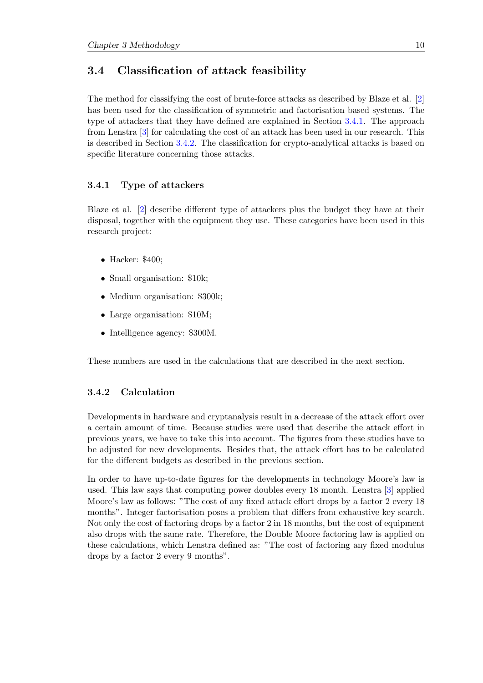### <span id="page-14-0"></span>3.4 Classification of attack feasibility

The method for classifying the cost of brute-force attacks as described by Blaze et al. [\[2\]](#page-29-2) has been used for the classification of symmetric and factorisation based systems. The type of attackers that they have defined are explained in Section [3.4.1.](#page-14-1) The approach from Lenstra [\[3\]](#page-29-3) for calculating the cost of an attack has been used in our research. This is described in Section [3.4.2.](#page-14-2) The classification for crypto-analytical attacks is based on specific literature concerning those attacks.

#### <span id="page-14-1"></span>3.4.1 Type of attackers

Blaze et al. [\[2\]](#page-29-2) describe different type of attackers plus the budget they have at their disposal, together with the equipment they use. These categories have been used in this research project:

- Hacker: \$400;
- Small organisation: \$10k;
- Medium organisation: \$300k;
- Large organisation: \$10M;
- Intelligence agency: \$300M.

These numbers are used in the calculations that are described in the next section.

#### <span id="page-14-2"></span>3.4.2 Calculation

Developments in hardware and cryptanalysis result in a decrease of the attack effort over a certain amount of time. Because studies were used that describe the attack effort in previous years, we have to take this into account. The figures from these studies have to be adjusted for new developments. Besides that, the attack effort has to be calculated for the different budgets as described in the previous section.

In order to have up-to-date figures for the developments in technology Moore's law is used. This law says that computing power doubles every 18 month. Lenstra [\[3\]](#page-29-3) applied Moore's law as follows: "The cost of any fixed attack effort drops by a factor 2 every 18 months". Integer factorisation poses a problem that differs from exhaustive key search. Not only the cost of factoring drops by a factor 2 in 18 months, but the cost of equipment also drops with the same rate. Therefore, the Double Moore factoring law is applied on these calculations, which Lenstra defined as: "The cost of factoring any fixed modulus drops by a factor 2 every 9 months".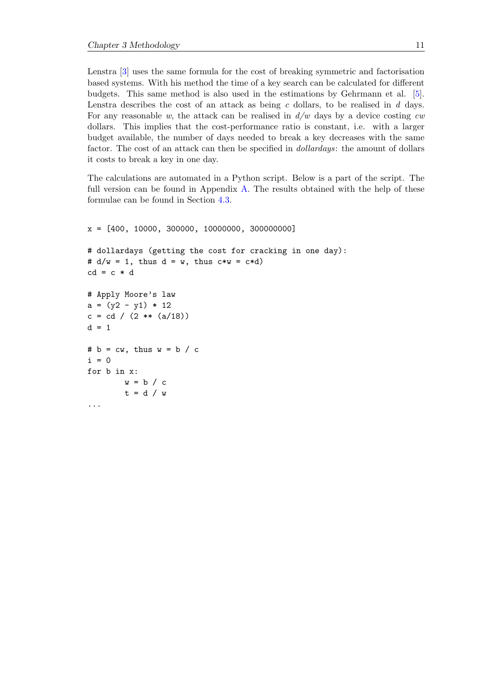Lenstra [\[3\]](#page-29-3) uses the same formula for the cost of breaking symmetric and factorisation based systems. With his method the time of a key search can be calculated for different budgets. This same method is also used in the estimations by Gehrmann et al. [\[5\]](#page-29-5). Lenstra describes the cost of an attack as being  $c$  dollars, to be realised in  $d$  days. For any reasonable w, the attack can be realised in  $d/w$  days by a device costing cw dollars. This implies that the cost-performance ratio is constant, i.e. with a larger budget available, the number of days needed to break a key decreases with the same factor. The cost of an attack can then be specified in *dollardays*: the amount of dollars it costs to break a key in one day.

The calculations are automated in a Python script. Below is a part of the script. The full version can be found in Appendix [A.](#page-26-0) The results obtained with the help of these formulae can be found in Section [4.3.](#page-21-0)

```
x = [400, 10000, 300000, 10000000, 300000000]
# dollardays (getting the cost for cracking in one day):
# d/w = 1, thus d = w, thus c*w = c*d)cd = c * d# Apply Moore's law
a = (y2 - y1) * 12c = cd / (2 ** (a/18))d = 1# b = cw, thus w = b / ci = 0for b in x:
       w = b / ct = d / w...
```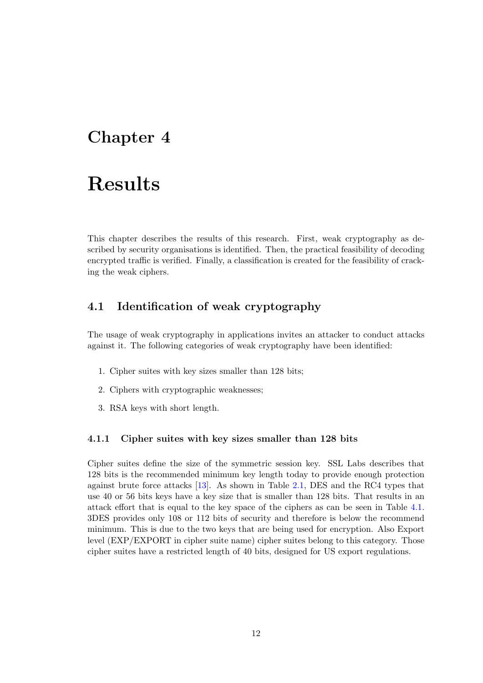## <span id="page-16-0"></span>Chapter 4

# Results

This chapter describes the results of this research. First, weak cryptography as described by security organisations is identified. Then, the practical feasibility of decoding encrypted traffic is verified. Finally, a classification is created for the feasibility of cracking the weak ciphers.

### <span id="page-16-1"></span>4.1 Identification of weak cryptography

The usage of weak cryptography in applications invites an attacker to conduct attacks against it. The following categories of weak cryptography have been identified:

- 1. Cipher suites with key sizes smaller than 128 bits;
- 2. Ciphers with cryptographic weaknesses;
- 3. RSA keys with short length.

#### <span id="page-16-2"></span>4.1.1 Cipher suites with key sizes smaller than 128 bits

Cipher suites define the size of the symmetric session key. SSL Labs describes that 128 bits is the recommended minimum key length today to provide enough protection against brute force attacks [\[13\]](#page-29-13). As shown in Table [2.1,](#page-9-3) DES and the RC4 types that use 40 or 56 bits keys have a key size that is smaller than 128 bits. That results in an attack effort that is equal to the key space of the ciphers as can be seen in Table [4.1.](#page-17-4) 3DES provides only 108 or 112 bits of security and therefore is below the recommend minimum. This is due to the two keys that are being used for encryption. Also Export level (EXP/EXPORT in cipher suite name) cipher suites belong to this category. Those cipher suites have a restricted length of 40 bits, designed for US export regulations.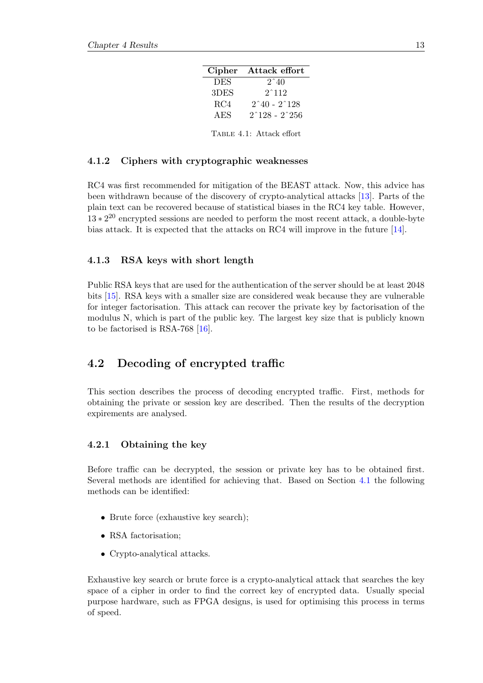| Cipher     | Attack effort                       |
|------------|-------------------------------------|
| <b>DES</b> | $2^{\degree}40$                     |
| 3DES       | $2^{\textdegree}112$                |
| RC4        | $2^{\char`-}40$ - $2^{\char`-}128$  |
| AES        | $2^{\degree}128$ - $2^{\degree}256$ |
|            |                                     |
|            | TABLE 4.1: Attack effort            |

#### <span id="page-17-4"></span><span id="page-17-0"></span>4.1.2 Ciphers with cryptographic weaknesses

RC4 was first recommended for mitigation of the BEAST attack. Now, this advice has been withdrawn because of the discovery of crypto-analytical attacks [\[13\]](#page-29-13). Parts of the plain text can be recovered because of statistical biases in the RC4 key table. However,  $13 \times 2^{20}$  encrypted sessions are needed to perform the most recent attack, a double-byte bias attack. It is expected that the attacks on RC4 will improve in the future [\[14\]](#page-29-14).

#### <span id="page-17-1"></span>4.1.3 RSA keys with short length

Public RSA keys that are used for the authentication of the server should be at least 2048 bits [\[15\]](#page-29-15). RSA keys with a smaller size are considered weak because they are vulnerable for integer factorisation. This attack can recover the private key by factorisation of the modulus N, which is part of the public key. The largest key size that is publicly known to be factorised is RSA-768 [\[16\]](#page-30-0).

### <span id="page-17-2"></span>4.2 Decoding of encrypted traffic

This section describes the process of decoding encrypted traffic. First, methods for obtaining the private or session key are described. Then the results of the decryption expirements are analysed.

#### <span id="page-17-3"></span>4.2.1 Obtaining the key

Before traffic can be decrypted, the session or private key has to be obtained first. Several methods are identified for achieving that. Based on Section [4.1](#page-16-1) the following methods can be identified:

- Brute force (exhaustive key search);
- RSA factorisation;
- Crypto-analytical attacks.

Exhaustive key search or brute force is a crypto-analytical attack that searches the key space of a cipher in order to find the correct key of encrypted data. Usually special purpose hardware, such as FPGA designs, is used for optimising this process in terms of speed.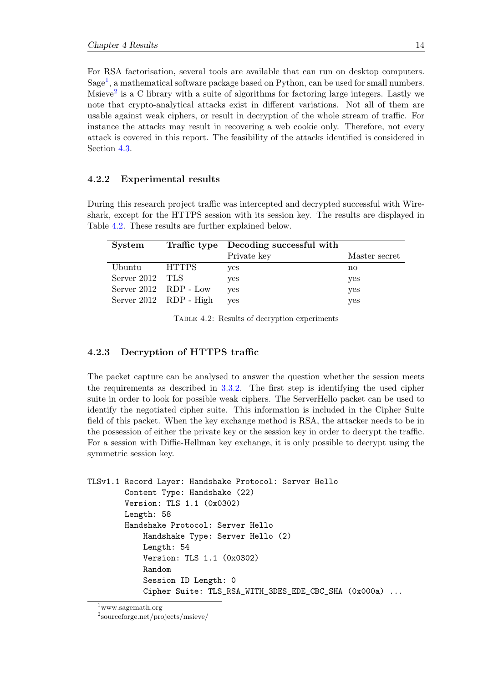For RSA factorisation, several tools are available that can run on desktop computers.  $Sage<sup>1</sup>$  $Sage<sup>1</sup>$  $Sage<sup>1</sup>$ , a mathematical software package based on Python, can be used for small numbers. Msieve<sup>[2](#page-18-3)</sup> is a C library with a suite of algorithms for factoring large integers. Lastly we note that crypto-analytical attacks exist in different variations. Not all of them are usable against weak ciphers, or result in decryption of the whole stream of traffic. For instance the attacks may result in recovering a web cookie only. Therefore, not every attack is covered in this report. The feasibility of the attacks identified is considered in Section [4.3.](#page-21-0)

#### <span id="page-18-0"></span>4.2.2 Experimental results

During this research project traffic was intercepted and decrypted successful with Wireshark, except for the HTTPS session with its session key. The results are displayed in Table [4.2.](#page-18-4) These results are further explained below.

<span id="page-18-4"></span>

| System                |                        | Traffic type Decoding successful with |               |
|-----------------------|------------------------|---------------------------------------|---------------|
|                       |                        | Private key                           | Master secret |
| Ubuntu                | <b>HTTPS</b>           | yes                                   | no            |
| Server 2012 TLS       |                        | yes                                   | yes           |
| Server 2012 RDP - Low |                        | ves                                   | yes           |
|                       | Server 2012 RDP - High | ves                                   | yes           |

Table 4.2: Results of decryption experiments

#### <span id="page-18-1"></span>4.2.3 Decryption of HTTPS traffic

The packet capture can be analysed to answer the question whether the session meets the requirements as described in [3.3.2.](#page-13-3) The first step is identifying the used cipher suite in order to look for possible weak ciphers. The ServerHello packet can be used to identify the negotiated cipher suite. This information is included in the Cipher Suite field of this packet. When the key exchange method is RSA, the attacker needs to be in the possession of either the private key or the session key in order to decrypt the traffic. For a session with Diffie-Hellman key exchange, it is only possible to decrypt using the symmetric session key.

```
TLSv1.1 Record Layer: Handshake Protocol: Server Hello
        Content Type: Handshake (22)
        Version: TLS 1.1 (0x0302)
        Length: 58
        Handshake Protocol: Server Hello
            Handshake Type: Server Hello (2)
            Length: 54
            Version: TLS 1.1 (0x0302)
            Random
            Session ID Length: 0
            Cipher Suite: TLS_RSA_WITH_3DES_EDE_CBC_SHA (0x000a) ...
```
<span id="page-18-2"></span><sup>1</sup>www.sagemath.org

<span id="page-18-3"></span><sup>2</sup> sourceforge.net/projects/msieve/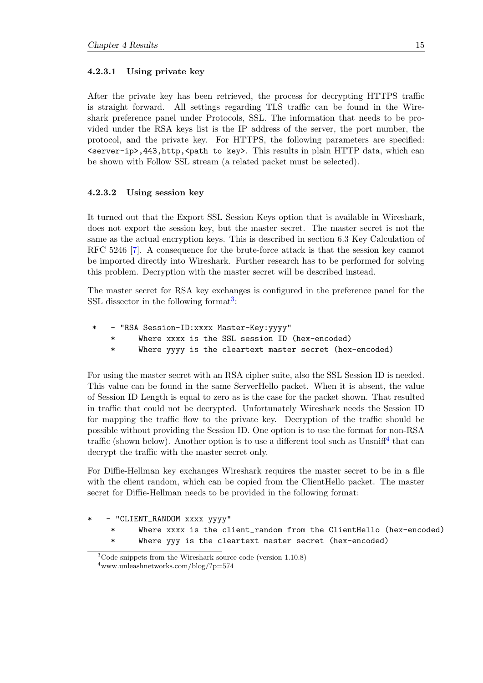#### <span id="page-19-0"></span>4.2.3.1 Using private key

After the private key has been retrieved, the process for decrypting HTTPS traffic is straight forward. All settings regarding TLS traffic can be found in the Wireshark preference panel under Protocols, SSL. The information that needs to be provided under the RSA keys list is the IP address of the server, the port number, the protocol, and the private key. For HTTPS, the following parameters are specified: <server-ip>,443,http,<path to key>. This results in plain HTTP data, which can be shown with Follow SSL stream (a related packet must be selected).

#### <span id="page-19-1"></span>4.2.3.2 Using session key

It turned out that the Export SSL Session Keys option that is available in Wireshark, does not export the session key, but the master secret. The master secret is not the same as the actual encryption keys. This is described in section 6.3 Key Calculation of RFC 5246 [\[7\]](#page-29-7). A consequence for the brute-force attack is that the session key cannot be imported directly into Wireshark. Further research has to be performed for solving this problem. Decryption with the master secret will be described instead.

The master secret for RSA key exchanges is configured in the preference panel for the SSL dissector in the following format<sup>[3](#page-19-2)</sup>:

- \* "RSA Session-ID:xxxx Master-Key:yyyy"
	- \* Where xxxx is the SSL session ID (hex-encoded)
	- \* Where yyyy is the cleartext master secret (hex-encoded)

For using the master secret with an RSA cipher suite, also the SSL Session ID is needed. This value can be found in the same ServerHello packet. When it is absent, the value of Session ID Length is equal to zero as is the case for the packet shown. That resulted in traffic that could not be decrypted. Unfortunately Wireshark needs the Session ID for mapping the traffic flow to the private key. Decryption of the traffic should be possible without providing the Session ID. One option is to use the format for non-RSA traffic (shown below). Another option is to use a different tool such as  $\text{Unsniff}^4$  $\text{Unsniff}^4$  that can decrypt the traffic with the master secret only.

For Diffie-Hellman key exchanges Wireshark requires the master secret to be in a file with the client random, which can be copied from the ClientHello packet. The master secret for Diffie-Hellman needs to be provided in the following format:

" CLIENT\_RANDOM xxxx yyyy"

- \* Where xxxx is the client\_random from the ClientHello (hex-encoded)
- \* Where yyy is the cleartext master secret (hex-encoded)

<span id="page-19-3"></span><span id="page-19-2"></span><sup>3</sup>Code snippets from the Wireshark source code (version 1.10.8)  $4$ www.unleashnetworks.com/blog/?p=574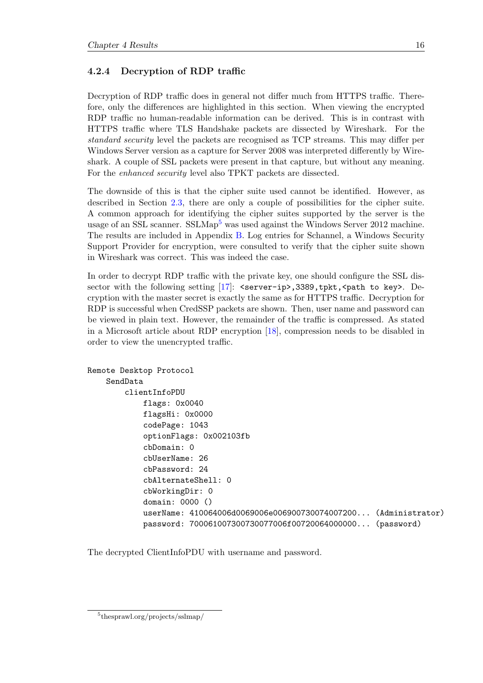#### <span id="page-20-0"></span>4.2.4 Decryption of RDP traffic

Decryption of RDP traffic does in general not differ much from HTTPS traffic. Therefore, only the differences are highlighted in this section. When viewing the encrypted RDP traffic no human-readable information can be derived. This is in contrast with HTTPS traffic where TLS Handshake packets are dissected by Wireshark. For the standard security level the packets are recognised as TCP streams. This may differ per Windows Server version as a capture for Server 2008 was interpreted differently by Wireshark. A couple of SSL packets were present in that capture, but without any meaning. For the enhanced security level also TPKT packets are dissected.

The downside of this is that the cipher suite used cannot be identified. However, as described in Section [2.3,](#page-9-1) there are only a couple of possibilities for the cipher suite. A common approach for identifying the cipher suites supported by the server is the usage of an SSL scanner. SSLMap<sup>[5](#page-20-1)</sup> was used against the Windows Server 2012 machine. The results are included in Appendix [B.](#page-28-0) Log entries for Schannel, a Windows Security Support Provider for encryption, were consulted to verify that the cipher suite shown in Wireshark was correct. This was indeed the case.

In order to decrypt RDP traffic with the private key, one should configure the SSL dissector with the following setting  $[17]$ : <server-ip>,3389,tpkt, <path to key>. Decryption with the master secret is exactly the same as for HTTPS traffic. Decryption for RDP is successful when CredSSP packets are shown. Then, user name and password can be viewed in plain text. However, the remainder of the traffic is compressed. As stated in a Microsoft article about RDP encryption [\[18\]](#page-30-2), compression needs to be disabled in order to view the unencrypted traffic.

```
Remote Desktop Protocol
    SendData
        clientInfoPDU
            flags: 0x0040
            flagsHi: 0x0000
            codePage: 1043
            optionFlags: 0x002103fb
            cbDomain: 0
            cbUserName: 26
            cbPassword: 24
            cbAlternateShell: 0
            cbWorkingDir: 0
            domain: 0000 ()
            userName: 410064006d0069006e006900730074007200... (Administrator)
            password: 700061007300730077006f00720064000000... (password)
```
The decrypted ClientInfoPDU with username and password.

<span id="page-20-1"></span><sup>5</sup> thesprawl.org/projects/sslmap/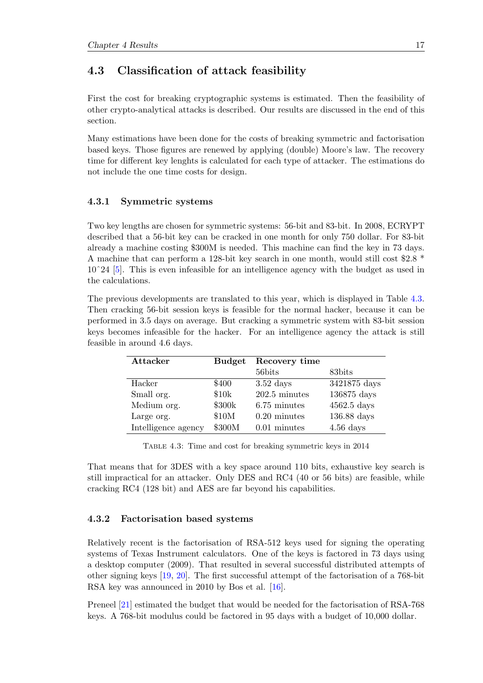### <span id="page-21-0"></span>4.3 Classification of attack feasibility

First the cost for breaking cryptographic systems is estimated. Then the feasibility of other crypto-analytical attacks is described. Our results are discussed in the end of this section.

Many estimations have been done for the costs of breaking symmetric and factorisation based keys. Those figures are renewed by applying (double) Moore's law. The recovery time for different key lenghts is calculated for each type of attacker. The estimations do not include the one time costs for design.

#### <span id="page-21-1"></span>4.3.1 Symmetric systems

Two key lengths are chosen for symmetric systems: 56-bit and 83-bit. In 2008, ECRYPT described that a 56-bit key can be cracked in one month for only 750 dollar. For 83-bit already a machine costing \$300M is needed. This machine can find the key in 73 days. A machine that can perform a 128-bit key search in one month, would still cost \$2.8 \* 10ˆ24 [\[5\]](#page-29-5). This is even infeasible for an intelligence agency with the budget as used in the calculations.

The previous developments are translated to this year, which is displayed in Table [4.3.](#page-21-3) Then cracking 56-bit session keys is feasible for the normal hacker, because it can be performed in 3.5 days on average. But cracking a symmetric system with 83-bit session keys becomes infeasible for the hacker. For an intelligence agency the attack is still feasible in around 4.6 days.

<span id="page-21-3"></span>

| Attacker            | <b>Budget</b> | Recovery time          |               |
|---------------------|---------------|------------------------|---------------|
|                     |               | 56bits                 | 83bits        |
| Hacker              | \$400         | $3.52$ days            | 3421875 days  |
| Small org.          | \$10k         | $202.5$ minutes        | 136875 days   |
| Medium org.         | \$300k        | 6.75 minutes           | $4562.5$ days |
| Large org.          | \$10M         | $0.20 \text{ minutes}$ | 136.88 days   |
| Intelligence agency | \$300M        | $0.01$ minutes         | $4.56$ days   |

Table 4.3: Time and cost for breaking symmetric keys in 2014

That means that for 3DES with a key space around 110 bits, exhaustive key search is still impractical for an attacker. Only DES and RC4 (40 or 56 bits) are feasible, while cracking RC4 (128 bit) and AES are far beyond his capabilities.

#### <span id="page-21-2"></span>4.3.2 Factorisation based systems

Relatively recent is the factorisation of RSA-512 keys used for signing the operating systems of Texas Instrument calculators. One of the keys is factored in 73 days using a desktop computer (2009). That resulted in several successful distributed attempts of other signing keys [\[19,](#page-30-3) [20\]](#page-30-4). The first successful attempt of the factorisation of a 768-bit RSA key was announced in 2010 by Bos et al. [\[16\]](#page-30-0).

Preneel [\[21\]](#page-30-5) estimated the budget that would be needed for the factorisation of RSA-768 keys. A 768-bit modulus could be factored in 95 days with a budget of 10,000 dollar.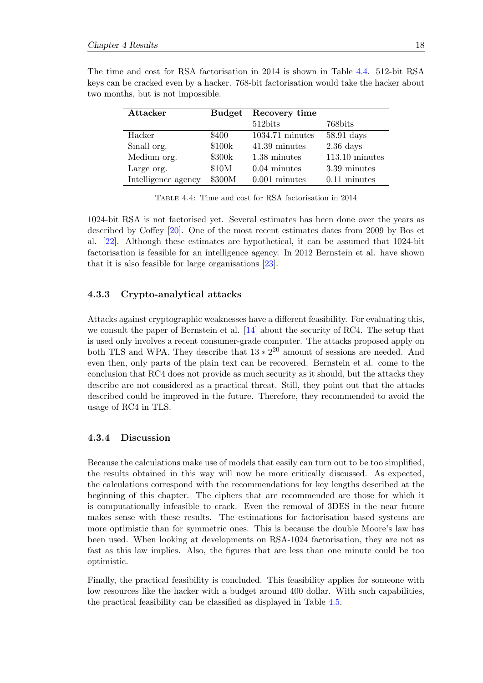| Attacker            | <b>Budget</b> | Recovery time     |                       |
|---------------------|---------------|-------------------|-----------------------|
|                     |               | 512bits           | 768bits               |
| Hacker              | \$400         | $1034.71$ minutes | $58.91$ days          |
| Small org.          | \$100k        | 41.39 minutes     | $2.36$ days           |
| Medium org.         | \$300k        | 1.38 minutes      | $113.10 \t{ minutes}$ |
| Large org.          | \$10M         | $0.04$ minutes    | 3.39 minutes          |
| Intelligence agency | \$300M        | $0.001$ minutes   | $0.11$ minutes        |

<span id="page-22-2"></span>The time and cost for RSA factorisation in 2014 is shown in Table [4.4.](#page-22-2) 512-bit RSA keys can be cracked even by a hacker. 768-bit factorisation would take the hacker about two months, but is not impossible.

Table 4.4: Time and cost for RSA factorisation in 2014

1024-bit RSA is not factorised yet. Several estimates has been done over the years as described by Coffey [\[20\]](#page-30-4). One of the most recent estimates dates from 2009 by Bos et al. [\[22\]](#page-30-6). Although these estimates are hypothetical, it can be assumed that 1024-bit factorisation is feasible for an intelligence agency. In 2012 Bernstein et al. have shown that it is also feasible for large organisations [\[23\]](#page-30-7).

#### <span id="page-22-0"></span>4.3.3 Crypto-analytical attacks

Attacks against cryptographic weaknesses have a different feasibility. For evaluating this, we consult the paper of Bernstein et al. [\[14\]](#page-29-14) about the security of RC4. The setup that is used only involves a recent consumer-grade computer. The attacks proposed apply on both TLS and WPA. They describe that  $13 \times 2^{20}$  amount of sessions are needed. And even then, only parts of the plain text can be recovered. Bernstein et al. come to the conclusion that RC4 does not provide as much security as it should, but the attacks they describe are not considered as a practical threat. Still, they point out that the attacks described could be improved in the future. Therefore, they recommended to avoid the usage of RC4 in TLS.

#### <span id="page-22-1"></span>4.3.4 Discussion

Because the calculations make use of models that easily can turn out to be too simplified, the results obtained in this way will now be more critically discussed. As expected, the calculations correspond with the recommendations for key lengths described at the beginning of this chapter. The ciphers that are recommended are those for which it is computationally infeasible to crack. Even the removal of 3DES in the near future makes sense with these results. The estimations for factorisation based systems are more optimistic than for symmetric ones. This is because the double Moore's law has been used. When looking at developments on RSA-1024 factorisation, they are not as fast as this law implies. Also, the figures that are less than one minute could be too optimistic.

Finally, the practical feasibility is concluded. This feasibility applies for someone with low resources like the hacker with a budget around 400 dollar. With such capabilities, the practical feasibility can be classified as displayed in Table [4.5.](#page-23-0)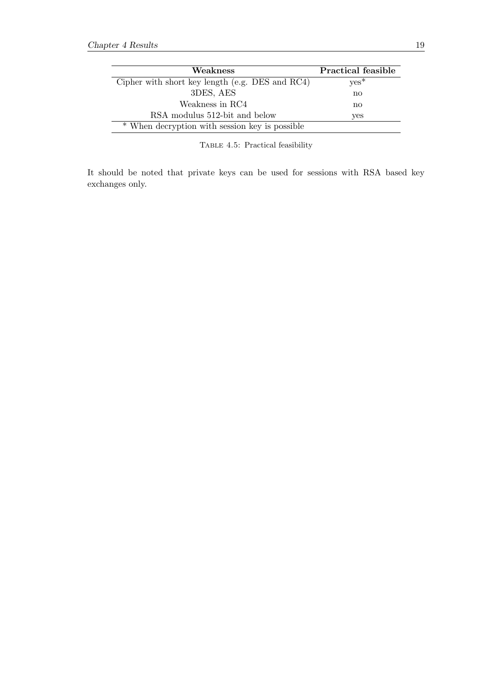<span id="page-23-0"></span>

| Weakness                                        | <b>Practical feasible</b> |
|-------------------------------------------------|---------------------------|
| Cipher with short key length (e.g. DES and RC4) | $yes*$                    |
| 3DES, AES                                       | $\mathbf{n}$              |
| Weakness in RC4                                 | $\mathbf{n}$              |
| RSA modulus 512-bit and below                   | yes                       |
| * When decryption with session key is possible  |                           |

Table 4.5: Practical feasibility

It should be noted that private keys can be used for sessions with RSA based key exchanges only.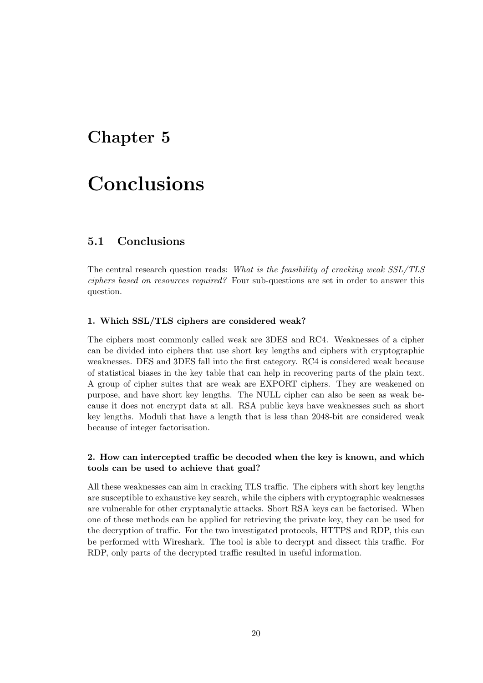## <span id="page-24-0"></span>Chapter 5

# Conclusions

### <span id="page-24-1"></span>5.1 Conclusions

The central research question reads: What is the feasibility of cracking weak SSL/TLS ciphers based on resources required? Four sub-questions are set in order to answer this question.

#### 1. Which SSL/TLS ciphers are considered weak?

The ciphers most commonly called weak are 3DES and RC4. Weaknesses of a cipher can be divided into ciphers that use short key lengths and ciphers with cryptographic weaknesses. DES and 3DES fall into the first category. RC4 is considered weak because of statistical biases in the key table that can help in recovering parts of the plain text. A group of cipher suites that are weak are EXPORT ciphers. They are weakened on purpose, and have short key lengths. The NULL cipher can also be seen as weak because it does not encrypt data at all. RSA public keys have weaknesses such as short key lengths. Moduli that have a length that is less than 2048-bit are considered weak because of integer factorisation.

#### 2. How can intercepted traffic be decoded when the key is known, and which tools can be used to achieve that goal?

All these weaknesses can aim in cracking TLS traffic. The ciphers with short key lengths are susceptible to exhaustive key search, while the ciphers with cryptographic weaknesses are vulnerable for other cryptanalytic attacks. Short RSA keys can be factorised. When one of these methods can be applied for retrieving the private key, they can be used for the decryption of traffic. For the two investigated protocols, HTTPS and RDP, this can be performed with Wireshark. The tool is able to decrypt and dissect this traffic. For RDP, only parts of the decrypted traffic resulted in useful information.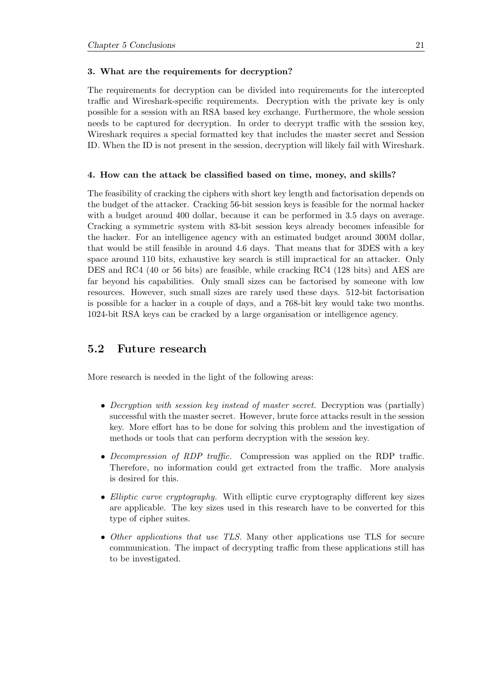#### 3. What are the requirements for decryption?

The requirements for decryption can be divided into requirements for the intercepted traffic and Wireshark-specific requirements. Decryption with the private key is only possible for a session with an RSA based key exchange. Furthermore, the whole session needs to be captured for decryption. In order to decrypt traffic with the session key, Wireshark requires a special formatted key that includes the master secret and Session ID. When the ID is not present in the session, decryption will likely fail with Wireshark.

#### 4. How can the attack be classified based on time, money, and skills?

The feasibility of cracking the ciphers with short key length and factorisation depends on the budget of the attacker. Cracking 56-bit session keys is feasible for the normal hacker with a budget around 400 dollar, because it can be performed in 3.5 days on average. Cracking a symmetric system with 83-bit session keys already becomes infeasible for the hacker. For an intelligence agency with an estimated budget around 300M dollar, that would be still feasible in around 4.6 days. That means that for 3DES with a key space around 110 bits, exhaustive key search is still impractical for an attacker. Only DES and RC4 (40 or 56 bits) are feasible, while cracking RC4 (128 bits) and AES are far beyond his capabilities. Only small sizes can be factorised by someone with low resources. However, such small sizes are rarely used these days. 512-bit factorisation is possible for a hacker in a couple of days, and a 768-bit key would take two months. 1024-bit RSA keys can be cracked by a large organisation or intelligence agency.

#### <span id="page-25-0"></span>5.2 Future research

More research is needed in the light of the following areas:

- Decryption with session key instead of master secret. Decryption was (partially) successful with the master secret. However, brute force attacks result in the session key. More effort has to be done for solving this problem and the investigation of methods or tools that can perform decryption with the session key.
- Decompression of RDP traffic. Compression was applied on the RDP traffic. Therefore, no information could get extracted from the traffic. More analysis is desired for this.
- Elliptic curve cryptography. With elliptic curve cryptography different key sizes are applicable. The key sizes used in this research have to be converted for this type of cipher suites.
- Other applications that use TLS. Many other applications use TLS for secure communication. The impact of decrypting traffic from these applications still has to be investigated.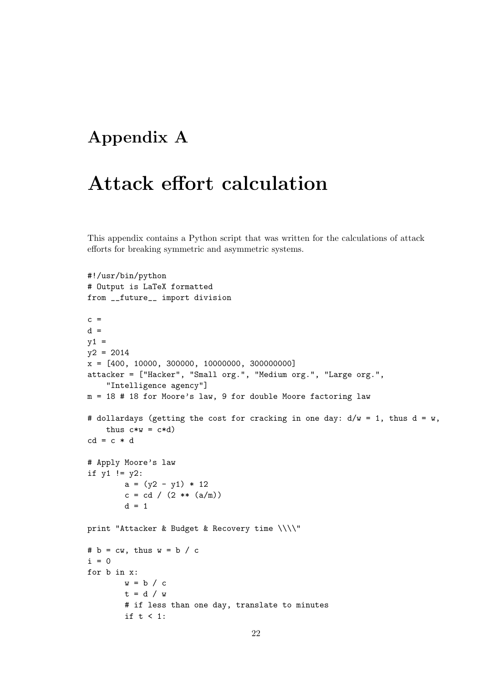# <span id="page-26-0"></span>Appendix A

# Attack effort calculation

This appendix contains a Python script that was written for the calculations of attack efforts for breaking symmetric and asymmetric systems.

```
#!/usr/bin/python
# Output is LaTeX formatted
from __future__ import division
c =d =y1 =y2 = 2014
x = [400, 10000, 300000, 10000000, 300000000]
attacker = ["Hacker", "Small org.", "Medium org.", "Large org.",
    "Intelligence agency"]
m = 18 # 18 for Moore's law, 9 for double Moore factoring law
# dollardays (getting the cost for cracking in one day: d/w = 1, thus d = w,
   thus c*w = c*d)cd = c * d# Apply Moore's law
if y1 != y2:
        a = (y2 - y1) * 12c = cd / (2 ** (a/m))d = 1print "Attacker & Budget & Recovery time \\\\"
# b = cw, thus w = b / ci = 0for b in x:
        w = b / ct = d / w# if less than one day, translate to minutes
        if t < 1:
```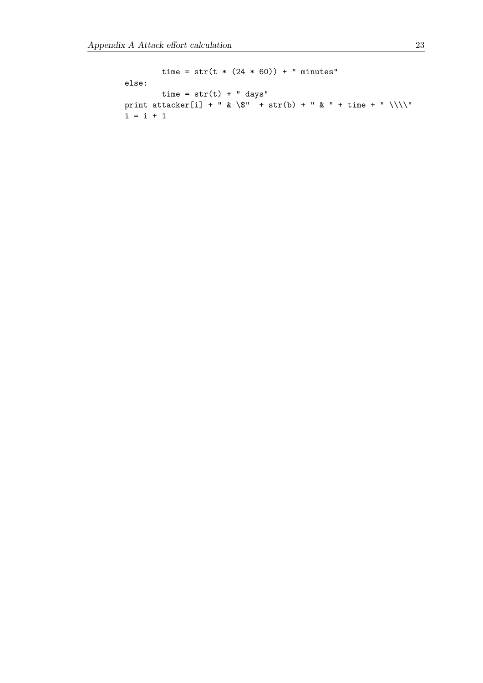```
time = str(t * (24 * 60)) + " minutes"
else:
      time = str(t) + " days"print attacker[i] + " & \" + str(b) + " & " + time + " \\\\"
i = i + 1
```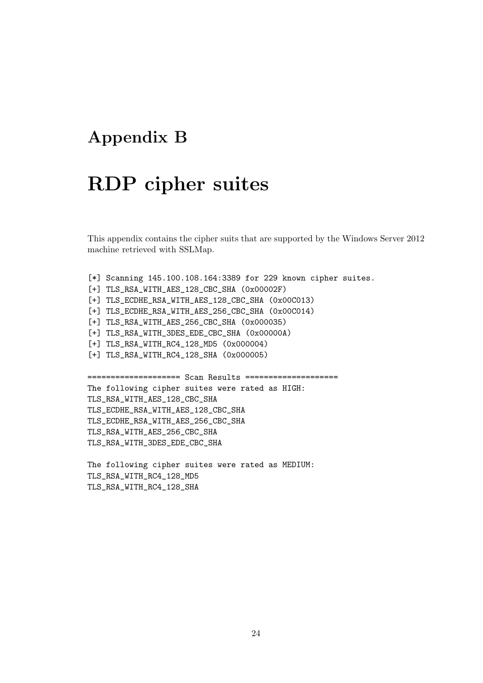# <span id="page-28-0"></span>Appendix B

# RDP cipher suites

This appendix contains the cipher suits that are supported by the Windows Server 2012 machine retrieved with SSLMap.

[\*] Scanning 145.100.108.164:3389 for 229 known cipher suites. [+] TLS\_RSA\_WITH\_AES\_128\_CBC\_SHA (0x00002F) [+] TLS\_ECDHE\_RSA\_WITH\_AES\_128\_CBC\_SHA (0x00C013) [+] TLS\_ECDHE\_RSA\_WITH\_AES\_256\_CBC\_SHA (0x00C014) [+] TLS\_RSA\_WITH\_AES\_256\_CBC\_SHA (0x000035) [+] TLS\_RSA\_WITH\_3DES\_EDE\_CBC\_SHA (0x00000A) [+] TLS\_RSA\_WITH\_RC4\_128\_MD5 (0x000004) [+] TLS\_RSA\_WITH\_RC4\_128\_SHA (0x000005) ==================== Scan Results ==================== The following cipher suites were rated as HIGH: TLS\_RSA\_WITH\_AES\_128\_CBC\_SHA TLS\_ECDHE\_RSA\_WITH\_AES\_128\_CBC\_SHA TLS\_ECDHE\_RSA\_WITH\_AES\_256\_CBC\_SHA TLS\_RSA\_WITH\_AES\_256\_CBC\_SHA TLS\_RSA\_WITH\_3DES\_EDE\_CBC\_SHA

The following cipher suites were rated as MEDIUM: TLS\_RSA\_WITH\_RC4\_128\_MD5 TLS\_RSA\_WITH\_RC4\_128\_SHA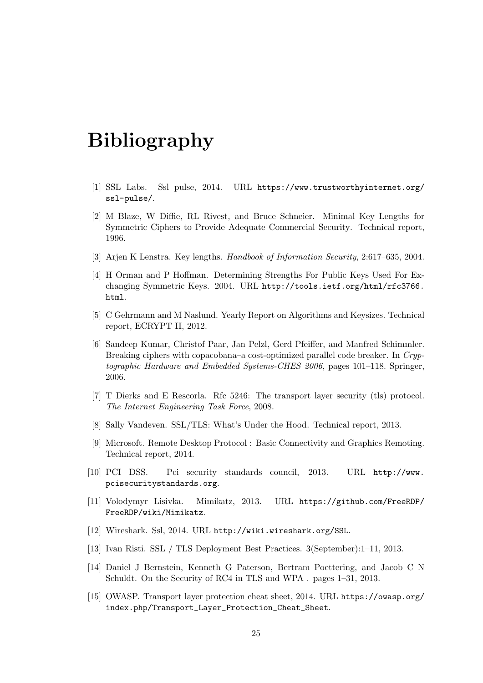# <span id="page-29-0"></span>Bibliography

- <span id="page-29-1"></span>[1] SSL Labs. Ssl pulse, 2014. URL [https://www.trustworthyinternet.org/](https://www.trustworthyinternet.org/ssl-pulse/) [ssl-pulse/](https://www.trustworthyinternet.org/ssl-pulse/).
- <span id="page-29-2"></span>[2] M Blaze, W Diffie, RL Rivest, and Bruce Schneier. Minimal Key Lengths for Symmetric Ciphers to Provide Adequate Commercial Security. Technical report, 1996.
- <span id="page-29-3"></span>[3] Arjen K Lenstra. Key lengths. Handbook of Information Security, 2:617–635, 2004.
- <span id="page-29-4"></span>[4] H Orman and P Hoffman. Determining Strengths For Public Keys Used For Exchanging Symmetric Keys. 2004. URL [http://tools.ietf.org/html/rfc3766.](http://tools.ietf.org/html/rfc3766.html) [html](http://tools.ietf.org/html/rfc3766.html).
- <span id="page-29-5"></span>[5] C Gehrmann and M Naslund. Yearly Report on Algorithms and Keysizes. Technical report, ECRYPT II, 2012.
- <span id="page-29-6"></span>[6] Sandeep Kumar, Christof Paar, Jan Pelzl, Gerd Pfeiffer, and Manfred Schimmler. Breaking ciphers with copacobana–a cost-optimized parallel code breaker. In Cryptographic Hardware and Embedded Systems-CHES 2006, pages 101–118. Springer, 2006.
- <span id="page-29-7"></span>[7] T Dierks and E Rescorla. Rfc 5246: The transport layer security (tls) protocol. The Internet Engineering Task Force, 2008.
- <span id="page-29-8"></span>[8] Sally Vandeven. SSL/TLS: What's Under the Hood. Technical report, 2013.
- <span id="page-29-9"></span>[9] Microsoft. Remote Desktop Protocol : Basic Connectivity and Graphics Remoting. Technical report, 2014.
- <span id="page-29-10"></span>[10] PCI DSS. Pci security standards council, 2013. URL [http://www.](http://www.pcisecuritystandards.org) [pcisecuritystandards.org](http://www.pcisecuritystandards.org).
- <span id="page-29-11"></span>[11] Volodymyr Lisivka. Mimikatz, 2013. URL [https://github.com/FreeRDP/](https://github.com/FreeRDP/FreeRDP/wiki/Mimikatz) [FreeRDP/wiki/Mimikatz](https://github.com/FreeRDP/FreeRDP/wiki/Mimikatz).
- <span id="page-29-12"></span>[12] Wireshark. Ssl, 2014. URL <http://wiki.wireshark.org/SSL>.
- <span id="page-29-13"></span>[13] Ivan Risti. SSL / TLS Deployment Best Practices. 3(September):1–11, 2013.
- <span id="page-29-14"></span>[14] Daniel J Bernstein, Kenneth G Paterson, Bertram Poettering, and Jacob C N Schuldt. On the Security of RC4 in TLS and WPA . pages 1–31, 2013.
- <span id="page-29-15"></span>[15] OWASP. Transport layer protection cheat sheet, 2014. URL [https://owasp.org/](https://owasp.org/index.php/Transport_Layer_Protection_Cheat_Sheet) [index.php/Transport\\_Layer\\_Protection\\_Cheat\\_Sheet](https://owasp.org/index.php/Transport_Layer_Protection_Cheat_Sheet).